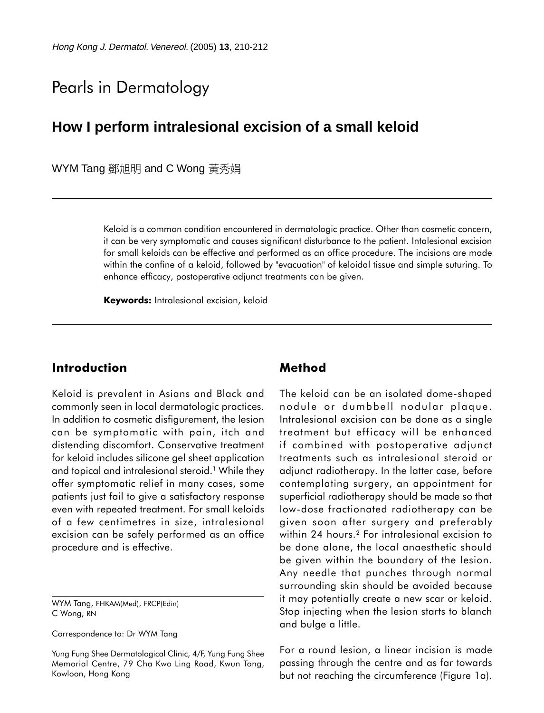# Pearls in Dermatology

## **How I perform intralesional excision of a small keloid**

WYM Tang 鄧旭明 and C Wong 黃秀娟

Keloid is a common condition encountered in dermatologic practice. Other than cosmetic concern, it can be very symptomatic and causes significant disturbance to the patient. Intalesional excision for small keloids can be effective and performed as an office procedure. The incisions are made within the confine of a keloid, followed by "evacuation" of keloidal tissue and simple suturing. To enhance efficacy, postoperative adjunct treatments can be given.

**Keywords:** Intralesional excision, keloid

### **Introduction**

Keloid is prevalent in Asians and Black and commonly seen in local dermatologic practices. In addition to cosmetic disfigurement, the lesion can be symptomatic with pain, itch and distending discomfort. Conservative treatment for keloid includes silicone gel sheet application and topical and intralesional steroid.<sup>1</sup> While they offer symptomatic relief in many cases, some patients just fail to give a satisfactory response even with repeated treatment. For small keloids of a few centimetres in size, intralesional excision can be safely performed as an office procedure and is effective.

WYM Tang, FHKAM(Med), FRCP(Edin) C Wong, RN

Correspondence to: Dr WYM Tang

Yung Fung Shee Dermatological Clinic, 4/F, Yung Fung Shee Memorial Centre, 79 Cha Kwo Ling Road, Kwun Tong, Kowloon, Hong Kong

### **Method**

The keloid can be an isolated dome-shaped nodule or dumbbell nodular plaque. Intralesional excision can be done as a single treatment but efficacy will be enhanced if combined with postoperative adjunct treatments such as intralesional steroid or adjunct radiotherapy. In the latter case, before contemplating surgery, an appointment for superficial radiotherapy should be made so that low-dose fractionated radiotherapy can be given soon after surgery and preferably within 24 hours.<sup>2</sup> For intralesional excision to be done alone, the local anaesthetic should be given within the boundary of the lesion. Any needle that punches through normal surrounding skin should be avoided because it may potentially create a new scar or keloid. Stop injecting when the lesion starts to blanch and bulge a little.

For a round lesion, a linear incision is made passing through the centre and as far towards but not reaching the circumference (Figure 1a).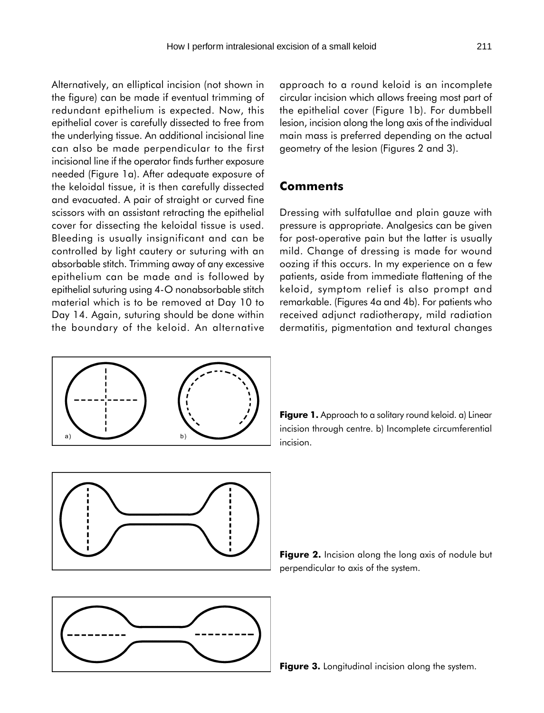Alternatively, an elliptical incision (not shown in the figure) can be made if eventual trimming of redundant epithelium is expected. Now, this epithelial cover is carefully dissected to free from the underlying tissue. An additional incisional line can also be made perpendicular to the first incisional line if the operator finds further exposure needed (Figure 1a). After adequate exposure of the keloidal tissue, it is then carefully dissected and evacuated. A pair of straight or curved fine scissors with an assistant retracting the epithelial cover for dissecting the keloidal tissue is used. Bleeding is usually insignificant and can be controlled by light cautery or suturing with an absorbable stitch. Trimming away of any excessive epithelium can be made and is followed by epithelial suturing using 4-O nonabsorbable stitch material which is to be removed at Day 10 to Day 14. Again, suturing should be done within the boundary of the keloid. An alternative

approach to a round keloid is an incomplete circular incision which allows freeing most part of the epithelial cover (Figure 1b). For dumbbell lesion, incision along the long axis of the individual main mass is preferred depending on the actual geometry of the lesion (Figures 2 and 3).

#### **Comments**

Dressing with sulfatullae and plain gauze with pressure is appropriate. Analgesics can be given for post-operative pain but the latter is usually mild. Change of dressing is made for wound oozing if this occurs. In my experience on a few patients, aside from immediate flattening of the keloid, symptom relief is also prompt and remarkable. (Figures 4a and 4b). For patients who received adjunct radiotherapy, mild radiation dermatitis, pigmentation and textural changes











**Figure 3.** Longitudinal incision along the system.